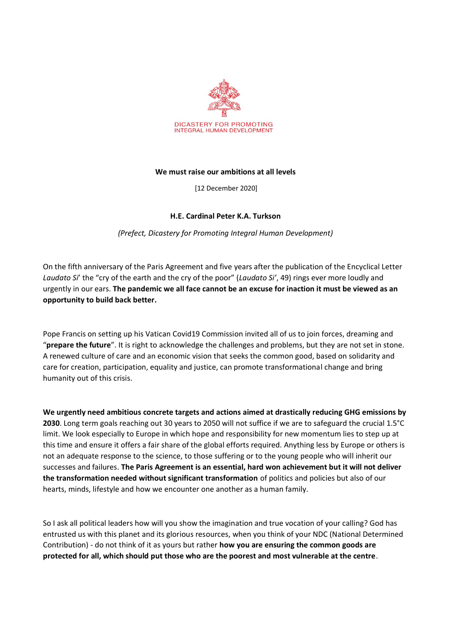

## **We must raise our ambitions at all levels**

[12 December 2020]

## **H.E. Cardinal Peter K.A. Turkson**

*(Prefect, Dicastery for Promoting Integral Human Development)*

On the fifth anniversary of the Paris Agreement and five years after the publication of the Encyclical Letter *Laudato Si*' the "cry of the earth and the cry of the poor" (*Laudato Si'*, 49) rings ever more loudly and urgently in our ears. **The pandemic we all face cannot be an excuse for inaction it must be viewed as an opportunity to build back better.**

Pope Francis on setting up his Vatican Covid19 Commission invited all of us to join forces, dreaming and "**prepare the future**". It is right to acknowledge the challenges and problems, but they are not set in stone. A renewed culture of care and an economic vision that seeks the common good, based on solidarity and care for creation, participation, equality and justice, can promote transformational change and bring humanity out of this crisis.

**We urgently need ambitious concrete targets and actions aimed at drastically reducing GHG emissions by 2030**. Long term goals reaching out 30 years to 2050 will not suffice if we are to safeguard the crucial 1.5°C limit. We look especially to Europe in which hope and responsibility for new momentum lies to step up at this time and ensure it offers a fair share of the global efforts required. Anything less by Europe or others is not an adequate response to the science, to those suffering or to the young people who will inherit our successes and failures. **The Paris Agreement is an essential, hard won achievement but it will not deliver the transformation needed without significant transformation** of politics and policies but also of our hearts, minds, lifestyle and how we encounter one another as a human family.

So I ask all political leaders how will you show the imagination and true vocation of your calling? God has entrusted us with this planet and its glorious resources, when you think of your NDC (National Determined Contribution) - do not think of it as yours but rather **how you are ensuring the common goods are protected for all, which should put those who are the poorest and most vulnerable at the centre**.